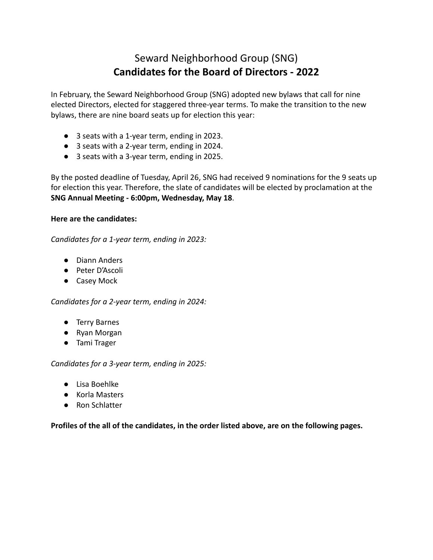# Seward Neighborhood Group (SNG) **Candidates for the Board of Directors - 2022**

In February, the Seward Neighborhood Group (SNG) adopted new bylaws that call for nine elected Directors, elected for staggered three-year terms. To make the transition to the new bylaws, there are nine board seats up for election this year:

- 3 seats with a 1-year term, ending in 2023.
- 3 seats with a 2-year term, ending in 2024.
- 3 seats with a 3-year term, ending in 2025.

By the posted deadline of Tuesday, April 26, SNG had received 9 nominations for the 9 seats up for election this year. Therefore, the slate of candidates will be elected by proclamation at the **SNG Annual Meeting - 6:00pm, Wednesday, May 18**.

### **Here are the candidates:**

*Candidates for a 1-year term, ending in 2023:*

- Diann Anders
- Peter D'Ascoli
- Casey Mock

*Candidates for a 2-year term, ending in 2024:*

- Terry Barnes
- Ryan Morgan
- Tami Trager

*Candidates for a 3-year term, ending in 2025:*

- Lisa Boehlke
- Korla Masters
- Ron Schlatter

**Profiles of the all of the candidates, in the order listed above, are on the following pages.**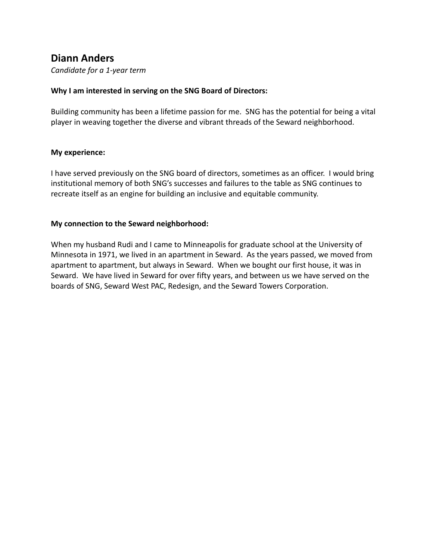## **Diann Anders**

*Candidate for a 1-year term*

## **Why I am interested in serving on the SNG Board of Directors:**

Building community has been a lifetime passion for me. SNG has the potential for being a vital player in weaving together the diverse and vibrant threads of the Seward neighborhood.

#### **My experience:**

I have served previously on the SNG board of directors, sometimes as an officer. I would bring institutional memory of both SNG's successes and failures to the table as SNG continues to recreate itself as an engine for building an inclusive and equitable community.

### **My connection to the Seward neighborhood:**

When my husband Rudi and I came to Minneapolis for graduate school at the University of Minnesota in 1971, we lived in an apartment in Seward. As the years passed, we moved from apartment to apartment, but always in Seward. When we bought our first house, it was in Seward. We have lived in Seward for over fifty years, and between us we have served on the boards of SNG, Seward West PAC, Redesign, and the Seward Towers Corporation.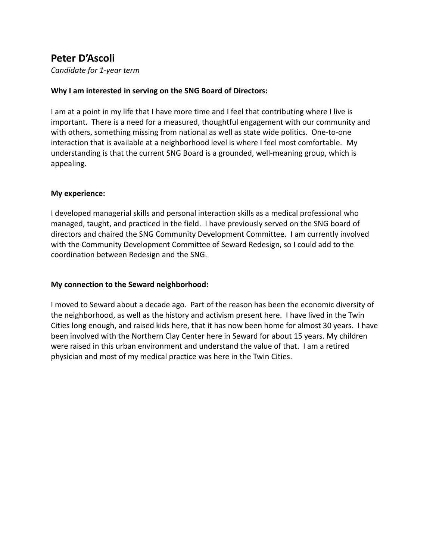## **Peter D'Ascoli**

*Candidate for 1-year term*

## **Why I am interested in serving on the SNG Board of Directors:**

I am at a point in my life that I have more time and I feel that contributing where I live is important. There is a need for a measured, thoughtful engagement with our community and with others, something missing from national as well as state wide politics. One-to-one interaction that is available at a neighborhood level is where I feel most comfortable. My understanding is that the current SNG Board is a grounded, well-meaning group, which is appealing.

#### **My experience:**

I developed managerial skills and personal interaction skills as a medical professional who managed, taught, and practiced in the field. I have previously served on the SNG board of directors and chaired the SNG Community Development Committee. I am currently involved with the Community Development Committee of Seward Redesign, so I could add to the coordination between Redesign and the SNG.

#### **My connection to the Seward neighborhood:**

I moved to Seward about a decade ago. Part of the reason has been the economic diversity of the neighborhood, as well as the history and activism present here. I have lived in the Twin Cities long enough, and raised kids here, that it has now been home for almost 30 years. I have been involved with the Northern Clay Center here in Seward for about 15 years. My children were raised in this urban environment and understand the value of that. I am a retired physician and most of my medical practice was here in the Twin Cities.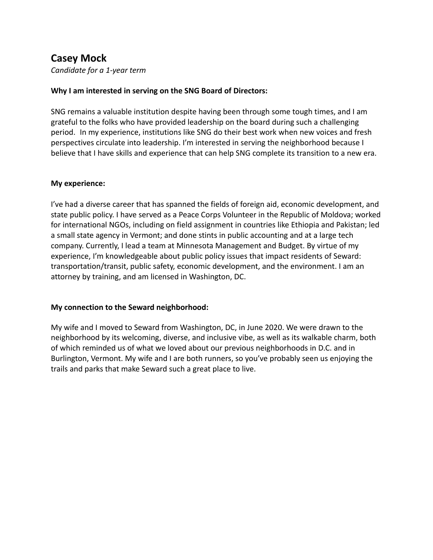## **Casey Mock**

*Candidate for a 1-year term*

## **Why I am interested in serving on the SNG Board of Directors:**

SNG remains a valuable institution despite having been through some tough times, and I am grateful to the folks who have provided leadership on the board during such a challenging period. In my experience, institutions like SNG do their best work when new voices and fresh perspectives circulate into leadership. I'm interested in serving the neighborhood because I believe that I have skills and experience that can help SNG complete its transition to a new era.

#### **My experience:**

I've had a diverse career that has spanned the fields of foreign aid, economic development, and state public policy. I have served as a Peace Corps Volunteer in the Republic of Moldova; worked for international NGOs, including on field assignment in countries like Ethiopia and Pakistan; led a small state agency in Vermont; and done stints in public accounting and at a large tech company. Currently, I lead a team at Minnesota Management and Budget. By virtue of my experience, I'm knowledgeable about public policy issues that impact residents of Seward: transportation/transit, public safety, economic development, and the environment. I am an attorney by training, and am licensed in Washington, DC.

## **My connection to the Seward neighborhood:**

My wife and I moved to Seward from Washington, DC, in June 2020. We were drawn to the neighborhood by its welcoming, diverse, and inclusive vibe, as well as its walkable charm, both of which reminded us of what we loved about our previous neighborhoods in D.C. and in Burlington, Vermont. My wife and I are both runners, so you've probably seen us enjoying the trails and parks that make Seward such a great place to live.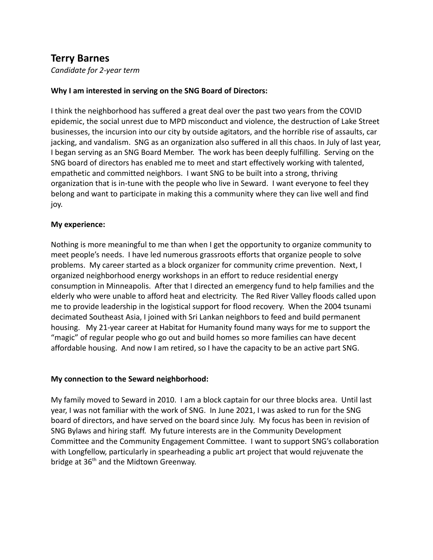## **Terry Barnes**

*Candidate for 2-year term*

## **Why I am interested in serving on the SNG Board of Directors:**

I think the neighborhood has suffered a great deal over the past two years from the COVID epidemic, the social unrest due to MPD misconduct and violence, the destruction of Lake Street businesses, the incursion into our city by outside agitators, and the horrible rise of assaults, car jacking, and vandalism. SNG as an organization also suffered in all this chaos. In July of last year, I began serving as an SNG Board Member. The work has been deeply fulfilling. Serving on the SNG board of directors has enabled me to meet and start effectively working with talented, empathetic and committed neighbors. I want SNG to be built into a strong, thriving organization that is in-tune with the people who live in Seward. I want everyone to feel they belong and want to participate in making this a community where they can live well and find joy.

### **My experience:**

Nothing is more meaningful to me than when I get the opportunity to organize community to meet people's needs. I have led numerous grassroots efforts that organize people to solve problems. My career started as a block organizer for community crime prevention. Next, I organized neighborhood energy workshops in an effort to reduce residential energy consumption in Minneapolis. After that I directed an emergency fund to help families and the elderly who were unable to afford heat and electricity. The Red River Valley floods called upon me to provide leadership in the logistical support for flood recovery. When the 2004 tsunami decimated Southeast Asia, I joined with Sri Lankan neighbors to feed and build permanent housing. My 21-year career at Habitat for Humanity found many ways for me to support the "magic" of regular people who go out and build homes so more families can have decent affordable housing. And now I am retired, so I have the capacity to be an active part SNG.

## **My connection to the Seward neighborhood:**

My family moved to Seward in 2010. I am a block captain for our three blocks area. Until last year, I was not familiar with the work of SNG. In June 2021, I was asked to run for the SNG board of directors, and have served on the board since July. My focus has been in revision of SNG Bylaws and hiring staff. My future interests are in the Community Development Committee and the Community Engagement Committee. I want to support SNG's collaboration with Longfellow, particularly in spearheading a public art project that would rejuvenate the bridge at 36<sup>th</sup> and the Midtown Greenway.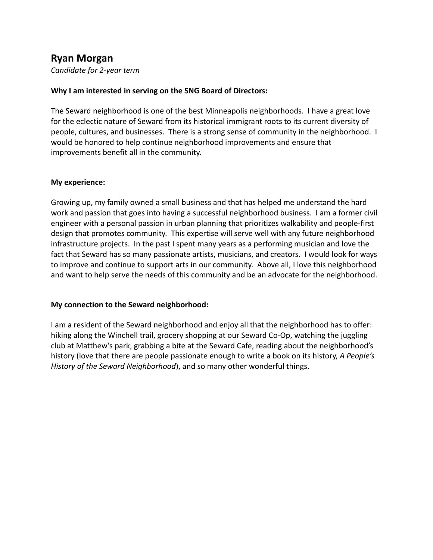## **Ryan Morgan**

*Candidate for 2-year term*

### **Why I am interested in serving on the SNG Board of Directors:**

The Seward neighborhood is one of the best Minneapolis neighborhoods. I have a great love for the eclectic nature of Seward from its historical immigrant roots to its current diversity of people, cultures, and businesses. There is a strong sense of community in the neighborhood. I would be honored to help continue neighborhood improvements and ensure that improvements benefit all in the community.

#### **My experience:**

Growing up, my family owned a small business and that has helped me understand the hard work and passion that goes into having a successful neighborhood business. I am a former civil engineer with a personal passion in urban planning that prioritizes walkability and people-first design that promotes community. This expertise will serve well with any future neighborhood infrastructure projects. In the past I spent many years as a performing musician and love the fact that Seward has so many passionate artists, musicians, and creators. I would look for ways to improve and continue to support arts in our community. Above all, I love this neighborhood and want to help serve the needs of this community and be an advocate for the neighborhood.

## **My connection to the Seward neighborhood:**

I am a resident of the Seward neighborhood and enjoy all that the neighborhood has to offer: hiking along the Winchell trail, grocery shopping at our Seward Co-Op, watching the juggling club at Matthew's park, grabbing a bite at the Seward Cafe, reading about the neighborhood's history (love that there are people passionate enough to write a book on its history, *A People's History of the Seward Neighborhood*), and so many other wonderful things.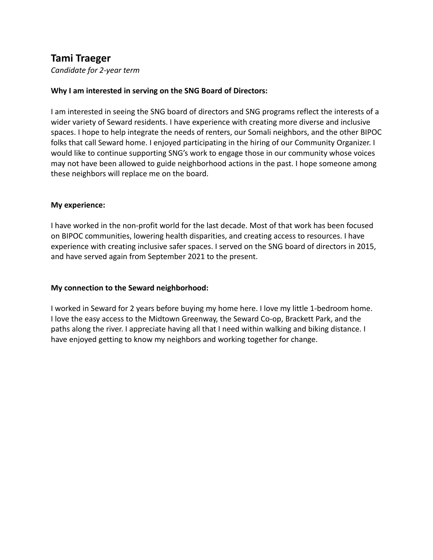## **Tami Traeger**

*Candidate for 2-year term*

## **Why I am interested in serving on the SNG Board of Directors:**

I am interested in seeing the SNG board of directors and SNG programs reflect the interests of a wider variety of Seward residents. I have experience with creating more diverse and inclusive spaces. I hope to help integrate the needs of renters, our Somali neighbors, and the other BIPOC folks that call Seward home. I enjoyed participating in the hiring of our Community Organizer. I would like to continue supporting SNG's work to engage those in our community whose voices may not have been allowed to guide neighborhood actions in the past. I hope someone among these neighbors will replace me on the board.

#### **My experience:**

I have worked in the non-profit world for the last decade. Most of that work has been focused on BIPOC communities, lowering health disparities, and creating access to resources. I have experience with creating inclusive safer spaces. I served on the SNG board of directors in 2015, and have served again from September 2021 to the present.

## **My connection to the Seward neighborhood:**

I worked in Seward for 2 years before buying my home here. I love my little 1-bedroom home. I love the easy access to the Midtown Greenway, the Seward Co-op, Brackett Park, and the paths along the river. I appreciate having all that I need within walking and biking distance. I have enjoyed getting to know my neighbors and working together for change.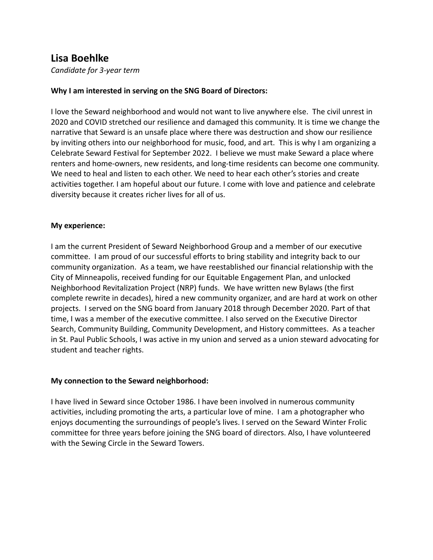## **Lisa Boehlke**

*Candidate for 3-year term*

## **Why I am interested in serving on the SNG Board of Directors:**

I love the Seward neighborhood and would not want to live anywhere else. The civil unrest in 2020 and COVID stretched our resilience and damaged this community. It is time we change the narrative that Seward is an unsafe place where there was destruction and show our resilience by inviting others into our neighborhood for music, food, and art. This is why I am organizing a Celebrate Seward Festival for September 2022. I believe we must make Seward a place where renters and home-owners, new residents, and long-time residents can become one community. We need to heal and listen to each other. We need to hear each other's stories and create activities together. I am hopeful about our future. I come with love and patience and celebrate diversity because it creates richer lives for all of us.

#### **My experience:**

I am the current President of Seward Neighborhood Group and a member of our executive committee. I am proud of our successful efforts to bring stability and integrity back to our community organization. As a team, we have reestablished our financial relationship with the City of Minneapolis, received funding for our Equitable Engagement Plan, and unlocked Neighborhood Revitalization Project (NRP) funds. We have written new Bylaws (the first complete rewrite in decades), hired a new community organizer, and are hard at work on other projects. I served on the SNG board from January 2018 through December 2020. Part of that time, I was a member of the executive committee. I also served on the Executive Director Search, Community Building, Community Development, and History committees. As a teacher in St. Paul Public Schools, I was active in my union and served as a union steward advocating for student and teacher rights.

## **My connection to the Seward neighborhood:**

I have lived in Seward since October 1986. I have been involved in numerous community activities, including promoting the arts, a particular love of mine. I am a photographer who enjoys documenting the surroundings of people's lives. I served on the Seward Winter Frolic committee for three years before joining the SNG board of directors. Also, I have volunteered with the Sewing Circle in the Seward Towers.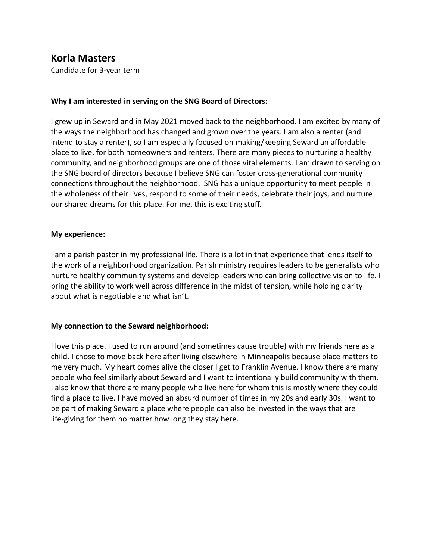## **Korla Masters**

Candidate for 3-year term

#### **Why I am interested in serving on the SNG Board of Directors:**

I grew up in Seward and in May 2021 moved back to the neighborhood. I am excited by many of the ways the neighborhood has changed and grown over the years. I am also a renter (and intend to stay a renter), so I am especially focused on making/keeping Seward an affordable place to live, for both homeowners and renters. There are many pieces to nurturing a healthy community, and neighborhood groups are one of those vital elements. I am drawn to serving on the SNG board of directors because I believe SNG can foster cross-generational community connections throughout the neighborhood. SNG has a unique opportunity to meet people in the wholeness of their lives, respond to some of their needs, celebrate their joys, and nurture our shared dreams for this place. For me, this is exciting stuff.

#### **My experience:**

I am a parish pastor in my professional life. There is a lot in that experience that lends itself to the work of a neighborhood organization. Parish ministry requires leaders to be generalists who nurture healthy community systems and develop leaders who can bring collective vision to life. I bring the ability to work well across difference in the midst of tension, while holding clarity about what is negotiable and what isn't.

#### **My connection to the Seward neighborhood:**

I love this place. I used to run around (and sometimes cause trouble) with my friends here as a child. I chose to move back here after living elsewhere in Minneapolis because place matters to me very much. My heart comes alive the closer I get to Franklin Avenue. I know there are many people who feel similarly about Seward and I want to intentionally build community with them. I also know that there are many people who live here for whom this is mostly where they could find a place to live. I have moved an absurd number of times in my 20s and early 30s. I want to be part of making Seward a place where people can also be invested in the ways that are life-giving for them no matter how long they stay here.